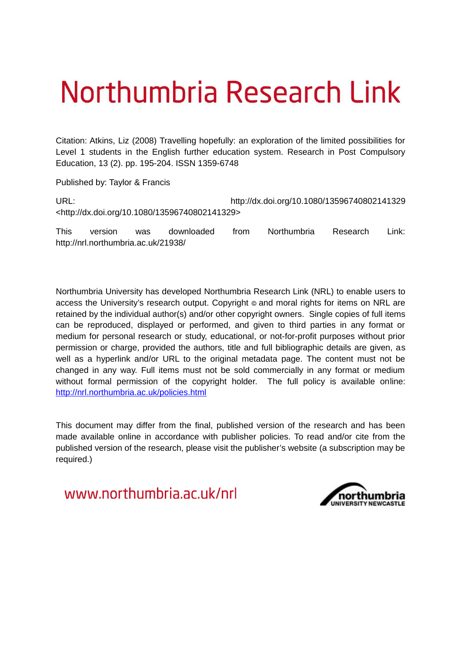# Northumbria Research Link

Citation: Atkins, Liz (2008) Travelling hopefully: an exploration of the limited possibilities for Level 1 students in the English further education system. Research in Post Compulsory Education, 13 (2). pp. 195-204. ISSN 1359-6748

Published by: Taylor & Francis

| URL:                                                          | http://dx.doi.org/10.1080/13596740802141329 |
|---------------------------------------------------------------|---------------------------------------------|
| <http: 10.1080="" 13596740802141329="" dx.doi.org=""></http:> |                                             |

This version was downloaded from Northumbria Research Link: http://nrl.northumbria.ac.uk/21938/

Northumbria University has developed Northumbria Research Link (NRL) to enable users to access the University's research output. Copyright  $\circ$  and moral rights for items on NRL are retained by the individual author(s) and/or other copyright owners. Single copies of full items can be reproduced, displayed or performed, and given to third parties in any format or medium for personal research or study, educational, or not-for-profit purposes without prior permission or charge, provided the authors, title and full bibliographic details are given, as well as a hyperlink and/or URL to the original metadata page. The content must not be changed in any way. Full items must not be sold commercially in any format or medium without formal permission of the copyright holder. The full policy is available online: <http://nrl.northumbria.ac.uk/policies.html>

This document may differ from the final, published version of the research and has been made available online in accordance with publisher policies. To read and/or cite from the published version of the research, please visit the publisher's website (a subscription may be required.)

www.northumbria.ac.uk/nrl

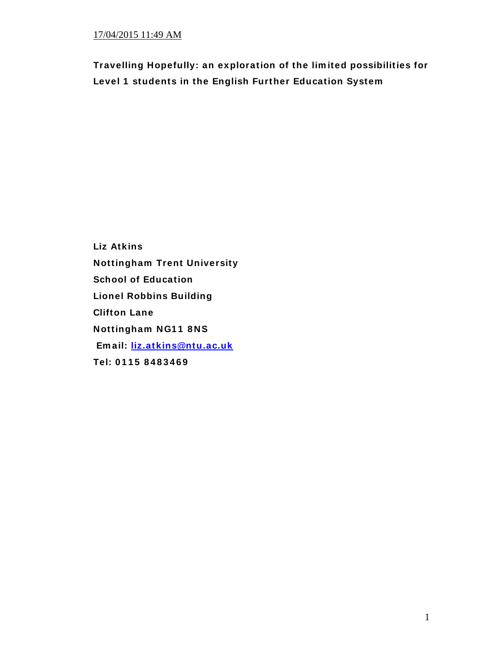**Travelling Hopefully: an exploration of the lim ited possibilities for Level 1 students in the English Further Education System**

**Liz Atkins Nottingham Trent University School of Education Lionel Robbins Building Clifton Lane Nottingham NG1 1 8 NS Em ail: [liz.atkins@ntu.ac.uk](mailto:liz.atkins@ntu.ac.uk) Tel: 0 1 1 5 8 4 8 3 4 6 9**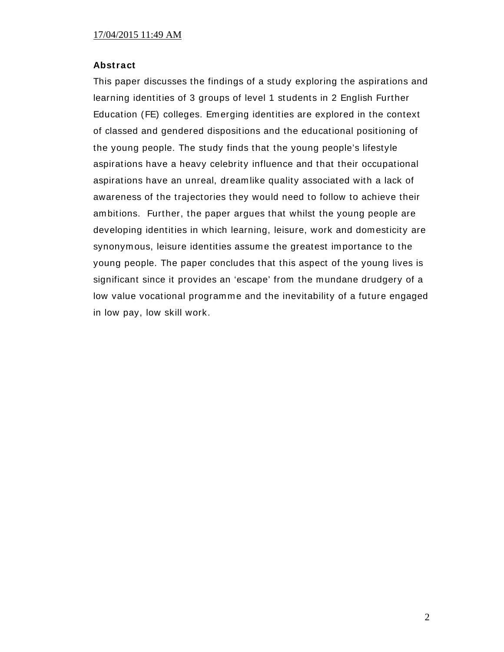## **Abstract**

This paper discusses the findings of a study exploring the aspirations and learning identities of 3 groups of level 1 students in 2 English Further Education (FE) colleges. Emerging identities are explored in the context of classed and gendered dispositions and the educational positioning of the young people. The study finds that the young people's lifestyle aspirations have a heavy celebrity influence and that their occupational aspirations have an unreal, dream like quality associated with a lack of awareness of the trajectories they would need to follow to achieve their ambitions. Further, the paper argues that whilst the young people are developing identities in which learning, leisure, work and domesticity are synonymous, leisure identities assume the greatest importance to the young people. The paper concludes that this aspect of the young lives is significant since it provides an 'escape' from the mundane drudgery of a low value vocational programme and the inevitability of a future engaged in low pay, low skill work.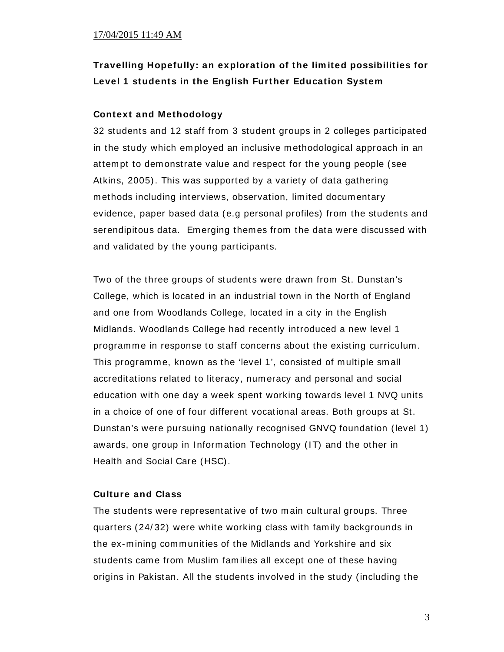## **Travelling Hopefully: an exploration of the lim ited possibilities for Level 1 students in the English Further Education System**

## **Context and Methodology**

32 students and 12 staff from 3 student groups in 2 colleges participated in the study which em ployed an inclusive m ethodological approach in an attempt to demonstrate value and respect for the young people (see Atkins, 2005). This was supported by a variety of data gathering methods including interviews, observation, lim ited documentary evidence, paper based data (e.g personal profiles) from the students and serendipitous data. Emerging themes from the data were discussed with and validated by the young participants.

Two of the three groups of students were drawn from St. Dunstan's College, which is located in an industrial town in the North of England and one from Woodlands College, located in a city in the English Midlands. Woodlands College had recently introduced a new level 1 programme in response to staff concerns about the existing curriculum. This programme, known as the 'level 1', consisted of multiple sm all accreditations related to literacy, numeracy and personal and social education with one day a week spent working towards level 1 NVQ units in a choice of one of four different vocational areas. Both groups at St. Dunstan's were pursuing nationally recognised GNVQ foundation (level 1) awards, one group in Information Technology (IT) and the other in Health and Social Care (HSC).

## **Culture and Class**

The students were representative of two m ain cultural groups. Three quarters (24/32) were white working class with family backgrounds in the ex-mining communities of the Midlands and Yorkshire and six students came from Muslim fam ilies all except one of these having origins in Pakistan. All the students involved in the study (including the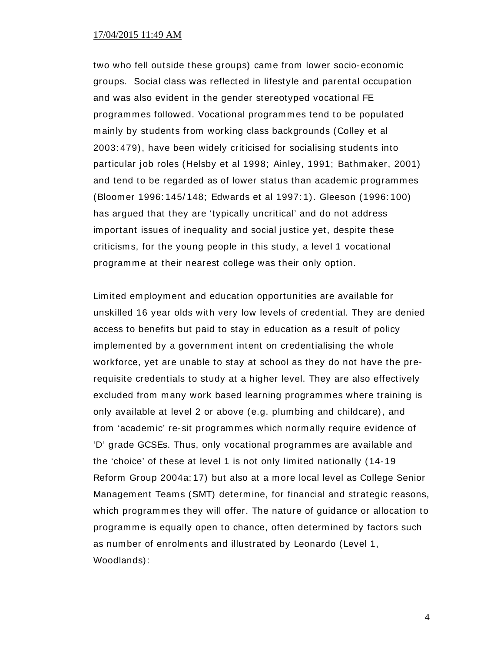two who fell outside these groups) came from lower socio-economic groups. Social class was reflected in lifestyle and parental occupation and was also evident in the gender stereotyped vocational FE programmes followed. Vocational program mes tend to be populated mainly by students from working class backgrounds (Colley et al 2003: 479), have been widely criticised for socialising students into particular job roles (Helsby et al 1998; Ainley, 1991; Bathmaker, 2001) and tend to be regarded as of lower status than academic programmes (Bloomer 1996: 145/ 148; Edwards et al 1997: 1). Gleeson (1996: 100) has argued that they are 'typically uncritical' and do not address important issues of inequality and social justice yet, despite these criticisms, for the young people in this study, a level 1 vocational programme at their nearest college was their only option.

Lim ited employment and education opportunities are available for unskilled 16 year olds with very low levels of credential. They are denied access to benefits but paid to stay in education as a result of policy implemented by a government intent on credentialising the whole workforce, yet are unable to stay at school as they do not have the prerequisite credentials to study at a higher level. They are also effectively excluded from many work based learning programmes where training is only available at level 2 or above (e.g. plumbing and childcare), and from 'academic' re-sit programmes which normally require evidence of 'D' grade GCSEs. Thus, only vocational programmes are available and the 'choice' of these at level 1 is not only limited nationally (14-19 Reform Group 2004a: 17) but also at a more local level as College Senior Management Teams (SMT) determine, for financial and strategic reasons, which programmes they will offer. The nature of guidance or allocation to programme is equally open to chance, often determined by factors such as number of enrolments and illustrated by Leonardo (Level 1, Woodlands):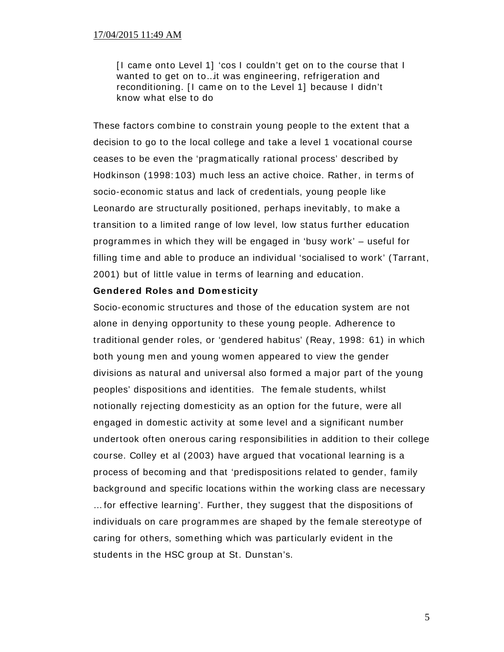[I came onto Level 1] 'cos I couldn't get on to the course that I wanted to get on to…it was engineering, refrigeration and reconditioning. II came on to the Level 11 because I didn't know what else to do

These factors combine to constrain young people to the extent that a decision to go to the local college and take a level 1 vocational course ceases to be even the 'pragmatically rational process' described by Hodkinson (1998: 103) much less an active choice. Rather, in terms of socio-economic status and lack of credentials, young people like Leonardo are structurally positioned, perhaps inevitably, to make a transition to a lim ited range of low level, low status further education programmes in which they will be engaged in 'busy work' – useful for filling time and able to produce an individual 'socialised to work' (Tarrant, 2001) but of little value in terms of learning and education.

## **Gendered Roles and Dom esticity**

Socio-economic structures and those of the education system are not alone in denying opportunity to these young people. Adherence to traditional gender roles, or 'gendered habitus' (Reay, 1998: 61) in which both young men and young women appeared to view the gender divisions as natural and universal also formed a major part of the young peoples' dispositions and identities. The female students, whilst notionally rejecting domesticity as an option for the future, were all engaged in domestic activity at some level and a significant num ber undertook often onerous caring responsibilities in addition to their college course. Colley et al (2003) have argued that vocational learning is a process of becoming and that 'predispositions related to gender, fam ily background and specific locations within the working class are necessary … for effective learning'. Further, they suggest that the dispositions of individuals on care programmes are shaped by the female stereotype of caring for others, something which was particularly evident in the students in the HSC group at St. Dunstan's.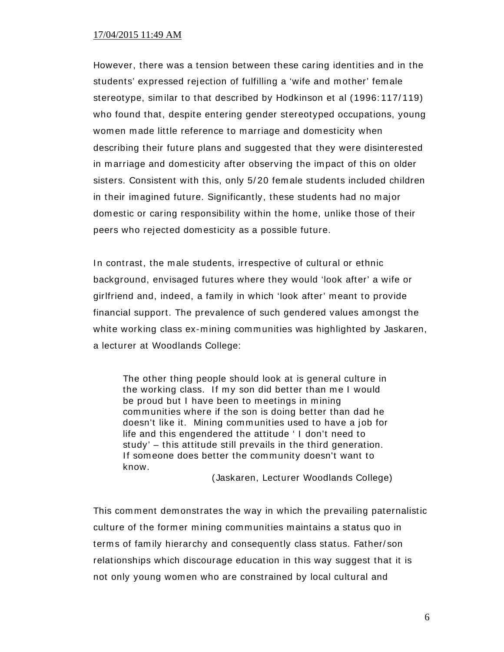However, there was a tension between these caring identities and in the students' expressed rejection of fulfilling a 'wife and mother' female stereotype, sim ilar to that described by Hodkinson et al (1996: 117/ 119) who found that, despite entering gender stereotyped occupations, young women made little reference to marriage and domesticity when describing their future plans and suggested that they were disinterested in marriage and domesticity after observing the impact of this on older sisters. Consistent with this, only 5/ 20 fem ale students included children in their imagined future. Significantly, these students had no major domestic or caring responsibility within the home, unlike those of their peers who rejected domesticity as a possible future.

In contrast, the male students, irrespective of cultural or ethnic background, envisaged futures where they would 'look after' a wife or girlfriend and, indeed, a fam ily in which 'look after' meant to provide financial support. The prevalence of such gendered values amongst the white working class ex-mining communities was highlighted by Jaskaren, a lecturer at Woodlands College:

The other thing people should look at is general culture in the working class. If my son did better than me I would be proud but I have been to meetings in mining communities where if the son is doing better than dad he doesn't like it. Mining communities used to have a job for life and this engendered the attitude ' I don't need to study' – this attitude still prevails in the third generation. If someone does better the community doesn't want to know.

(Jaskaren, Lecturer Woodlands College)

This comment demonstrates the way in which the prevailing paternalistic culture of the former mining communities maintains a status quo in terms of fam ily hierarchy and consequently class status. Father/ son relationships which discourage education in this way suggest that it is not only young women who are constrained by local cultural and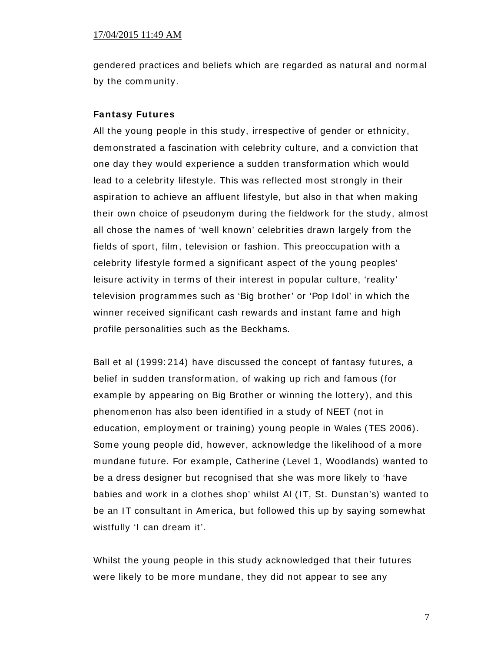gendered practices and beliefs which are regarded as natural and normal by the community.

#### **Fantasy Futures**

All the young people in this study, irrespective of gender or ethnicity, demonstrated a fascination with celebrity culture, and a conviction that one day they would experience a sudden transformation which would lead to a celebrity lifestyle. This was reflected most strongly in their aspiration to achieve an affluent lifestyle, but also in that when making their own choice of pseudonym during the fieldwork for the study, almost all chose the names of 'well known' celebrities drawn largely from the fields of sport, film , television or fashion. This preoccupation with a celebrity lifestyle formed a significant aspect of the young peoples' leisure activity in terms of their interest in popular culture, 'reality' television programmes such as 'Big brother' or 'Pop I dol' in which the winner received significant cash rewards and instant fame and high profile personalities such as the Beckhams.

Ball et al (1999: 214) have discussed the concept of fantasy futures, a belief in sudden transformation, of waking up rich and famous (for example by appearing on Big Brother or winning the lottery), and this phenomenon has also been identified in a study of NEET (not in education, employment or training) young people in Wales (TES 2006). Some young people did, however, acknowledge the likelihood of a more mundane future. For example, Catherine (Level 1, Woodlands) wanted to be a dress designer but recognised that she was more likely to 'have babies and work in a clothes shop' whilst AI (IT, St. Dunstan's) wanted to be an IT consultant in America, but followed this up by saying somewhat wistfully 'I can dream it'.

Whilst the young people in this study acknowledged that their futures were likely to be more mundane, they did not appear to see any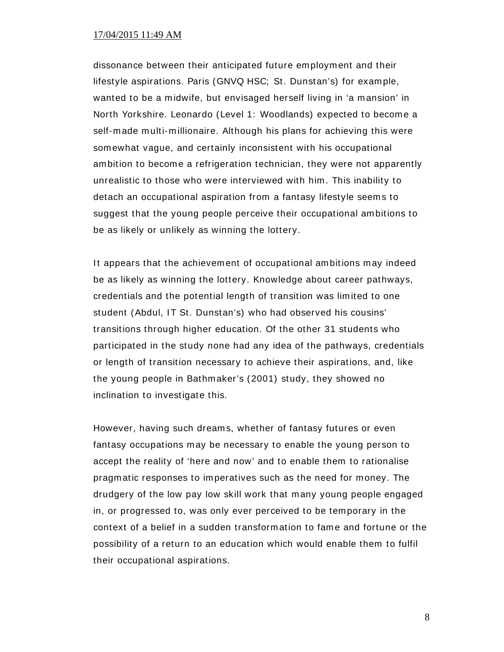dissonance between their anticipated future employment and their lifestyle aspirations. Paris (GNVQ HSC; St. Dunstan's) for example, wanted to be a midwife, but envisaged herself living in 'a mansion' in North Yorkshire. Leonardo (Level 1: Woodlands) expected to become a self-made multi-millionaire. Although his plans for achieving this were somewhat vague, and certainly inconsistent with his occupational ambition to become a refrigeration technician, they were not apparently unrealistic to those who were interviewed with him. This inability to detach an occupational aspiration from a fantasy lifestyle seems to suggest that the young people perceive their occupational ambitions to be as likely or unlikely as winning the lottery.

It appears that the achievement of occupational ambitions may indeed be as likely as winning the lottery. Knowledge about career pathways, credentials and the potential length of transition was lim ited to one student (Abdul, IT St. Dunstan's) who had observed his cousins' transitions through higher education. Of the other 31 students who participated in the study none had any idea of the pathways, credentials or length of transition necessary to achieve their aspirations, and, like the young people in Bathmaker's (2001) study, they showed no inclination to investigate this.

However, having such dreams, whether of fantasy futures or even fantasy occupations may be necessary to enable the young person to accept the reality of 'here and now' and to enable them to rationalise pragmatic responses to imperatives such as the need for money. The drudgery of the low pay low skill work that many young people engaged in, or progressed to, was only ever perceived to be temporary in the context of a belief in a sudden transformation to fame and fortune or the possibility of a return to an education which would enable them to fulfil their occupational aspirations.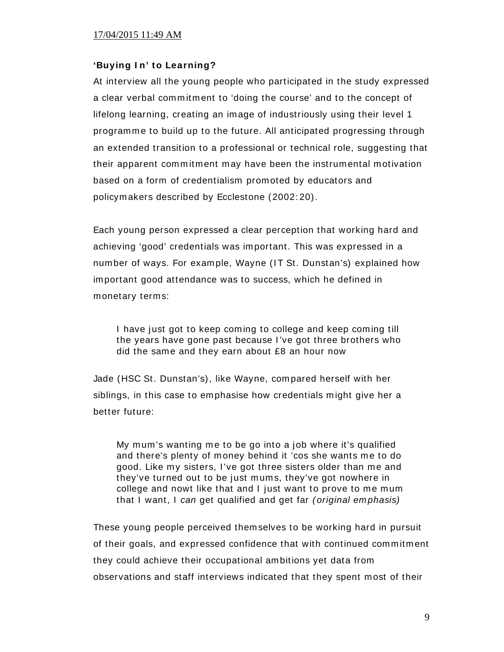## **'Buying I n' to Learning?**

At interview all the young people who participated in the study expressed a clear verbal comm itment to 'doing the course' and to the concept of lifelong learning, creating an image of industriously using their level 1 programme to build up to the future. All anticipated progressing through an extended transition to a professional or technical role, suggesting that their apparent comm itment may have been the instrumental motivation based on a form of credentialism promoted by educators and policymakers described by Ecclestone (2002: 20).

Each young person expressed a clear perception that working hard and achieving 'good' credentials was important. This was expressed in a number of ways. For example, Wayne (IT St. Dunstan's) explained how important good attendance was to success, which he defined in monetary terms:

I have just got to keep coming to college and keep coming till the years have gone past because I 've got three brothers who did the same and they earn about £8 an hour now

Jade (HSC St. Dunstan's), like Wayne, com pared herself with her siblings, in this case to emphasise how credentials might give her a better future:

My mum's wanting me to be go into a job where it's qualified and there's plenty of money behind it 'cos she wants me to do good. Like my sisters, I 've got three sisters older than me and they've turned out to be just mums, they've got nowhere in college and nowt like that and I just want to prove to me mum that I want, I can get qualified and get far (original em phasis)

These young people perceived themselves to be working hard in pursuit of their goals, and expressed confidence that with continued commitment they could achieve their occupational ambitions yet data from observations and staff interviews indicated that they spent most of their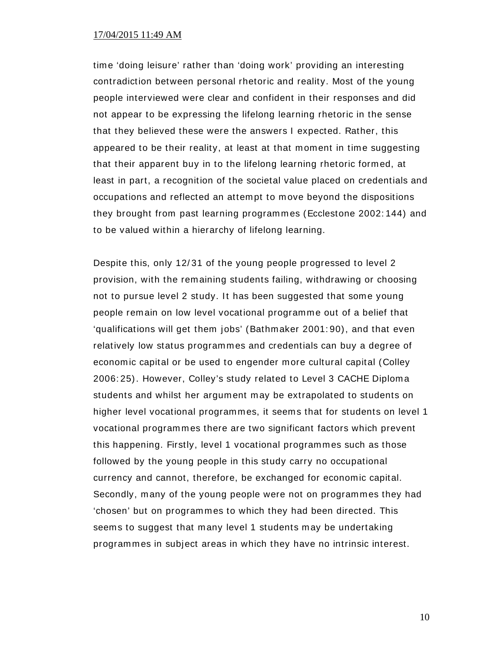time 'doing leisure' rather than 'doing work' providing an interesting contradiction between personal rhetoric and reality. Most of the young people interviewed were clear and confident in their responses and did not appear to be expressing the lifelong learning rhetoric in the sense that they believed these were the answers I expected. Rather, this appeared to be their reality, at least at that moment in time suggesting that their apparent buy in to the lifelong learning rhetoric formed, at least in part, a recognition of the societal value placed on credentials and occupations and reflected an attempt to m ove beyond the dispositions they brought from past learning programm es (Ecclestone 2002: 144) and to be valued within a hierarchy of lifelong learning.

Despite this, only 12/31 of the young people progressed to level 2 provision, with the remaining students failing, withdrawing or choosing not to pursue level 2 study. It has been suggested that some young people remain on low level vocational programme out of a belief that 'qualifications will get them jobs' (Bathmaker 2001: 90), and that even relatively low status programmes and credentials can buy a degree of economic capital or be used to engender more cultural capital (Colley 2006: 25). However, Colley's study related to Level 3 CACHE Diploma students and whilst her argument may be extrapolated to students on higher level vocational programmes, it seems that for students on level 1 vocational program m es there are two significant factors which prevent this happening. Firstly, level 1 vocational programmes such as those followed by the young people in this study carry no occupational currency and cannot, therefore, be exchanged for economic capital. Secondly, many of the young people were not on programmes they had 'chosen' but on programmes to which they had been directed. This seems to suggest that many level 1 students may be undertaking programmes in subject areas in which they have no intrinsic interest.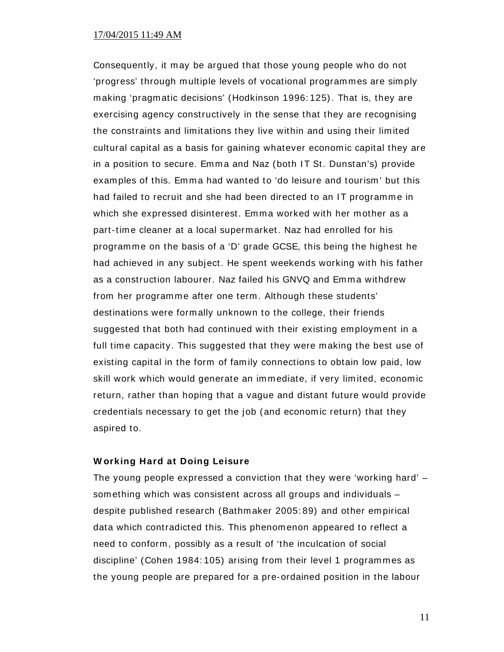Consequently, it may be argued that those young people who do not 'progress' through multiple levels of vocational programmes are simply making 'pragmatic decisions' (Hodkinson 1996: 125). That is, they are exercising agency constructively in the sense that they are recognising the constraints and limitations they live within and using their limited cultural capital as a basis for gaining whatever economic capital they are in a position to secure. Emma and Naz (both IT St. Dunstan's) provide examples of this. Em ma had wanted to 'do leisure and tourism' but this had failed to recruit and she had been directed to an IT programme in which she expressed disinterest. Emma worked with her mother as a part-time cleaner at a local supermarket. Naz had enrolled for his programme on the basis of a 'D' grade GCSE, this being the highest he had achieved in any subject. He spent weekends working with his father as a construction labourer. Naz failed his GNVQ and Emma withdrew from her programme after one term. Although these students' destinations were formally unknown to the college, their friends suggested that both had continued with their existing employment in a full time capacity. This suggested that they were making the best use of existing capital in the form of fam ily connections to obtain low paid, low skill work which would generate an im mediate, if very lim ited, economic return, rather than hoping that a vague and distant future would provide credentials necessary to get the job (and economic return) that they aspired to.

#### **W orking Hard at Doing Leisure**

The young people expressed a conviction that they were 'working hard' – something which was consistent across all groups and individuals – despite published research (Bathmaker 2005: 89) and other em pirical data which contradicted this. This phenomenon appeared to reflect a need to conform, possibly as a result of 'the inculcation of social discipline' (Cohen 1984: 105) arising from their level 1 program mes as the young people are prepared for a pre-ordained position in the labour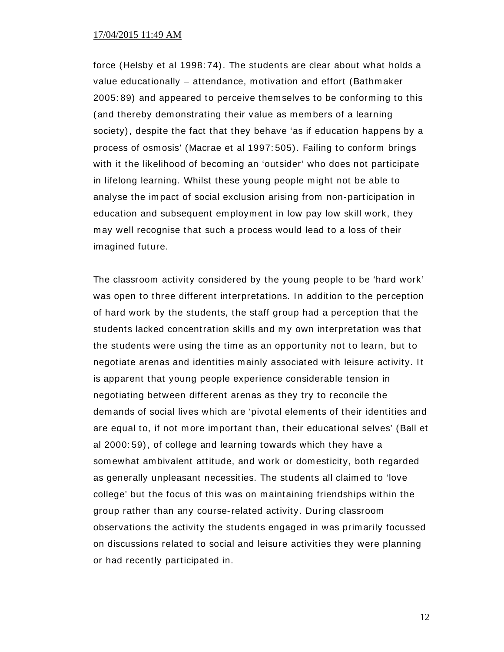force (Helsby et al 1998: 74). The students are clear about what holds a value educationally – attendance, motivation and effort (Bathmaker 2005: 89) and appeared to perceive themselves to be conforming to this (and thereby demonstrating their value as members of a learning society), despite the fact that they behave 'as if education happens by a process of osmosis' (Macrae et al 1997: 505). Failing to conform brings with it the likelihood of becoming an 'outsider' who does not participate in lifelong learning. Whilst these young people m ight not be able to analyse the im pact of social exclusion arising from non-participation in education and subsequent employment in low pay low skill work, they may well recognise that such a process would lead to a loss of their imagined future.

The classroom activity considered by the young people to be 'hard work' was open to three different interpretations. In addition to the perception of hard work by the students, the staff group had a perception that the students lacked concentration skills and my own interpretation was that the students were using the time as an opportunity not to learn, but to negotiate arenas and identities mainly associated with leisure activity. It is apparent that young people experience considerable tension in negotiating between different arenas as they try to reconcile the demands of social lives which are 'pivotal elements of their identities and are equal to, if not m ore important than, their educational selves' (Ball et al 2000: 59), of college and learning towards which they have a somewhat ambivalent attitude, and work or domesticity, both regarded as generally unpleasant necessities. The students all claimed to 'love college' but the focus of this was on maintaining friendships within the group rather than any course-related activity. During classroom observations the activity the students engaged in was primarily focussed on discussions related to social and leisure activities they were planning or had recently participated in.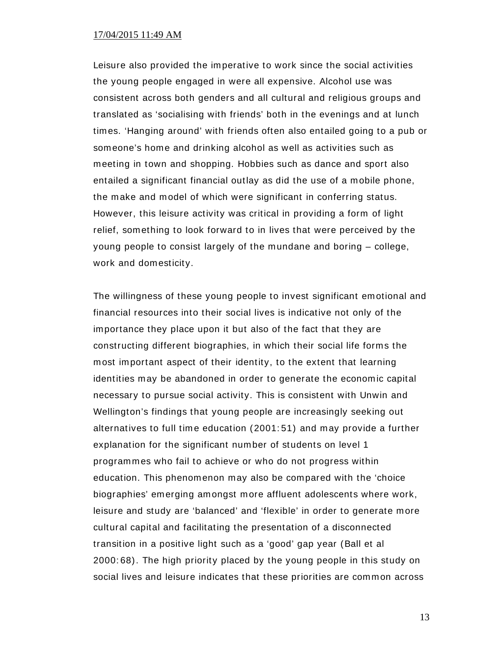Leisure also provided the imperative to work since the social activities the young people engaged in were all expensive. Alcohol use was consistent across both genders and all cultural and religious groups and translated as 'socialising with friends' both in the evenings and at lunch times. 'Hanging around' with friends often also entailed going to a pub or someone's home and drinking alcohol as well as activities such as meeting in town and shopping. Hobbies such as dance and sport also entailed a significant financial outlay as did the use of a mobile phone, the make and model of which were significant in conferring status. However, this leisure activity was critical in providing a form of light relief, something to look forward to in lives that were perceived by the young people to consist largely of the mundane and boring – college, work and domesticity.

The willingness of these young people to invest significant emotional and financial resources into their social lives is indicative not only of the importance they place upon it but also of the fact that they are constructing different biographies, in which their social life forms the most important aspect of their identity, to the extent that learning identities may be abandoned in order to generate the economic capital necessary to pursue social activity. This is consistent with Unwin and Wellington's findings that young people are increasingly seeking out alternatives to full time education (2001:51) and may provide a further explanation for the significant number of students on level 1 programmes who fail to achieve or who do not progress within education. This phenomenon may also be compared with the 'choice biographies' emerging amongst more affluent adolescents where work, leisure and study are 'balanced' and 'flexible' in order to generate more cultural capital and facilitating the presentation of a disconnected transition in a positive light such as a 'good' gap year (Ball et al 2000: 68). The high priority placed by the young people in this study on social lives and leisure indicates that these priorities are common across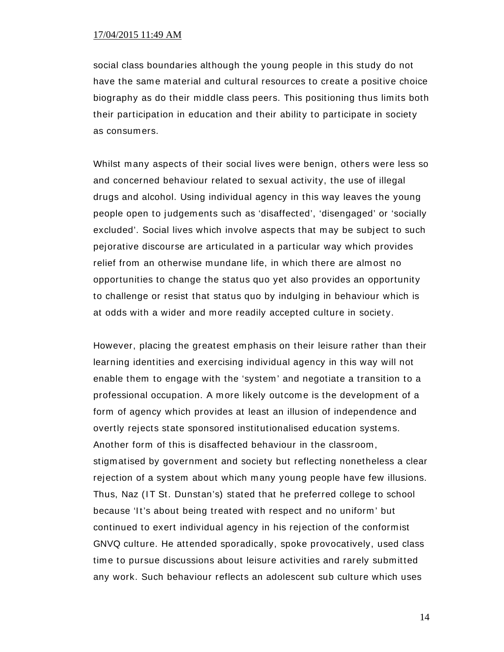social class boundaries although the young people in this study do not have the same material and cultural resources to create a positive choice biography as do their middle class peers. This positioning thus limits both their participation in education and their ability to participate in society as consumers.

Whilst many aspects of their social lives were benign, others were less so and concerned behaviour related to sexual activity, the use of illegal drugs and alcohol. Using individual agency in this way leaves the young people open to judgements such as 'disaffected', 'disengaged' or 'socially excluded'. Social lives which involve aspects that may be subject to such pejorative discourse are articulated in a particular way which provides relief from an otherwise mundane life, in which there are almost no opportunities to change the status quo yet also provides an opportunity to challenge or resist that status quo by indulging in behaviour which is at odds with a wider and more readily accepted culture in society.

However, placing the greatest emphasis on their leisure rather than their learning identities and exercising individual agency in this way will not enable them to engage with the 'system' and negotiate a transition to a professional occupation. A more likely outcome is the development of a form of agency which provides at least an illusion of independence and overtly rejects state sponsored institutionalised education systems. Another form of this is disaffected behaviour in the classroom, stigmatised by government and society but reflecting nonetheless a clear rejection of a system about which many young people have few illusions. Thus, Naz (IT St. Dunstan's) stated that he preferred college to school because 'I t's about being treated with respect and no uniform' but continued to exert individual agency in his rejection of the conformist GNVQ culture. He attended sporadically, spoke provocatively, used class time to pursue discussions about leisure activities and rarely submitted any work. Such behaviour reflects an adolescent sub culture which uses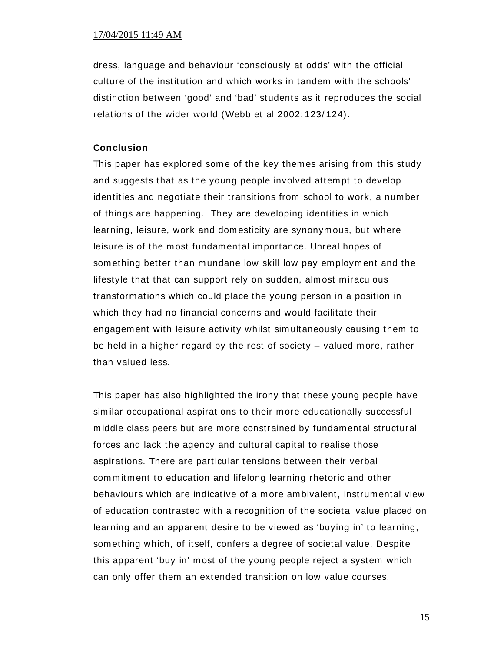dress, language and behaviour 'consciously at odds' with the official culture of the institution and which works in tandem with the schools' distinction between 'good' and 'bad' students as it reproduces the social relations of the wider world (Webb et al 2002: 123/ 124).

## **Conclusion**

This paper has explored some of the key themes arising from this study and suggests that as the young people involved attempt to develop identities and negotiate their transitions from school to work, a number of things are happening. They are developing identities in which learning, leisure, work and domesticity are synonymous, but where leisure is of the most fundamental importance. Unreal hopes of something better than mundane low skill low pay employment and the lifestyle that that can support rely on sudden, almost miraculous transformations which could place the young person in a position in which they had no financial concerns and would facilitate their engagement with leisure activity whilst sim ultaneously causing them to be held in a higher regard by the rest of society – valued more, rather than valued less.

This paper has also highlighted the irony that these young people have sim ilar occupational aspirations to their more educationally successful middle class peers but are more constrained by fundamental structural forces and lack the agency and cultural capital to realise those aspirations. There are particular tensions between their verbal commitment to education and lifelong learning rhetoric and other behaviours which are indicative of a more ambivalent, instrumental view of education contrasted with a recognition of the societal value placed on learning and an apparent desire to be viewed as 'buying in' to learning, something which, of itself, confers a degree of societal value. Despite this apparent 'buy in' most of the young people reject a system which can only offer them an extended transition on low value courses.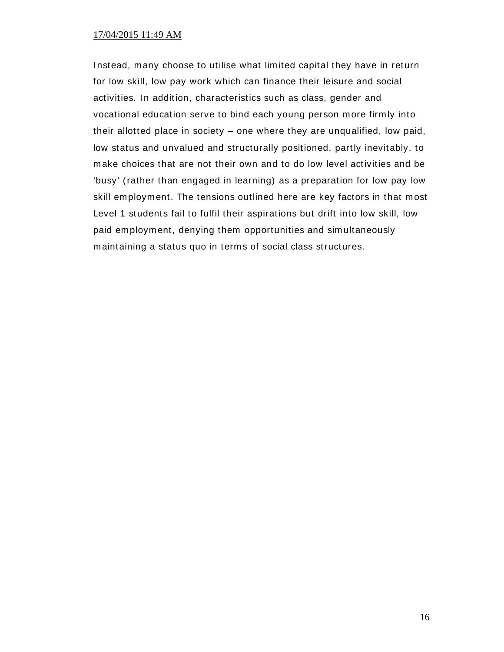Instead, many choose to utilise what limited capital they have in return for low skill, low pay work which can finance their leisure and social activities. In addition, characteristics such as class, gender and vocational education serve to bind each young person more firm ly into their allotted place in society – one where they are unqualified, low paid, low status and unvalued and structurally positioned, partly inevitably, to make choices that are not their own and to do low level activities and be 'busy' (rather than engaged in learning) as a preparation for low pay low skill employment. The tensions outlined here are key factors in that most Level 1 students fail to fulfil their aspirations but drift into low skill, low paid employment, denying them opportunities and simultaneously maintaining a status quo in terms of social class structures.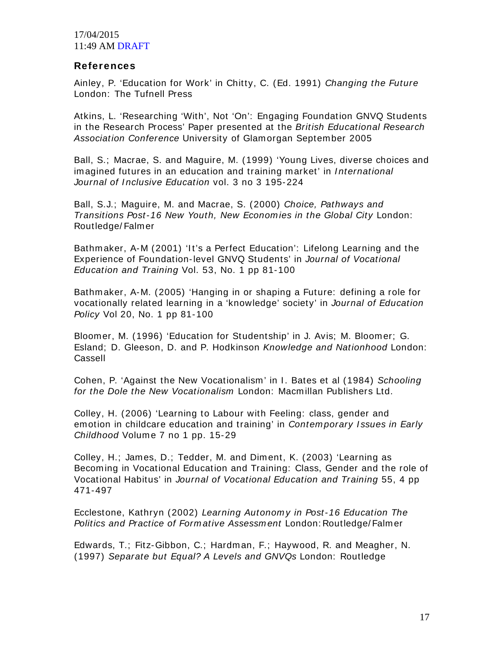17/04/2015 11:49 AM DRAFT

## **References**

Ainley, P. 'Education for Work' in Chitty, C. (Ed. 1991) Changing the Future London: The Tufnell Press

Atkins, L. 'Researching 'With', Not 'On': Engaging Foundation GNVQ Students in the Research Process' Paper presented at the British Educational Research Association Conference University of Glamorgan September 2005

Ball, S.; Macrae, S. and Maguire, M. (1999) 'Young Lives, diverse choices and imagined futures in an education and training market' in International Journal of Inclusive Education vol. 3 no 3 195-224

Ball, S.J.; Maguire, M. and Macrae, S. (2000) Choice, Pathways and Transitions Post-16 New Youth, New Econom ies in the Global City London: Routledge/ Falmer

Bathmaker, A-M (2001) 'It's a Perfect Education': Lifelong Learning and the Experience of Foundation-level GNVQ Students' in Journal of Vocational Education and Training Vol. 53, No. 1 pp 81-100

Bathmaker, A-M. (2005) 'Hanging in or shaping a Future: defining a role for vocationally related learning in a 'knowledge' society' in Journal of Education Policy Vol 20, No. 1 pp 81-100

Bloomer, M. (1996) 'Education for Studentship' in J. Avis; M. Bloomer; G. Esland; D. Gleeson, D. and P. Hodkinson Knowledge and Nationhood London: Cassell

Cohen, P. 'Against the New Vocationalism' in I. Bates et al (1984) Schooling for the Dole the New Vocationalism London: Macmillan Publishers Ltd.

Colley, H. (2006) 'Learning to Labour with Feeling: class, gender and emotion in childcare education and training' in Contemporary Issues in Early Childhood Volume 7 no 1 pp. 15-29

Colley, H.; James, D.; Tedder, M. and Diment, K. (2003) 'Learning as Becoming in Vocational Education and Training: Class, Gender and the role of Vocational Habitus' in Journal of Vocational Education and Training 55, 4 pp 471-497

Ecclestone, Kathryn (2002) Learning Autonomy in Post-16 Education The Politics and Practice of Form ative Assessm ent London: Routledge/ Falmer

Edwards, T.; Fitz-Gibbon, C.; Hardman, F.; Haywood, R. and Meagher, N. (1997) Separate but Equal? A Levels and GNVQs London: Routledge